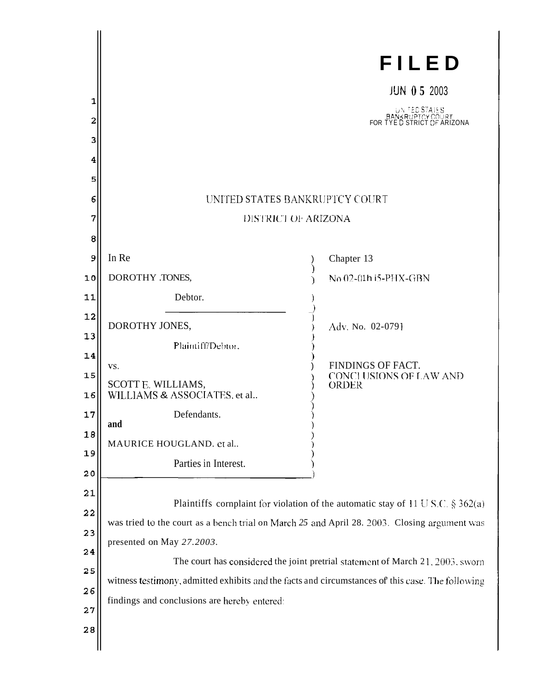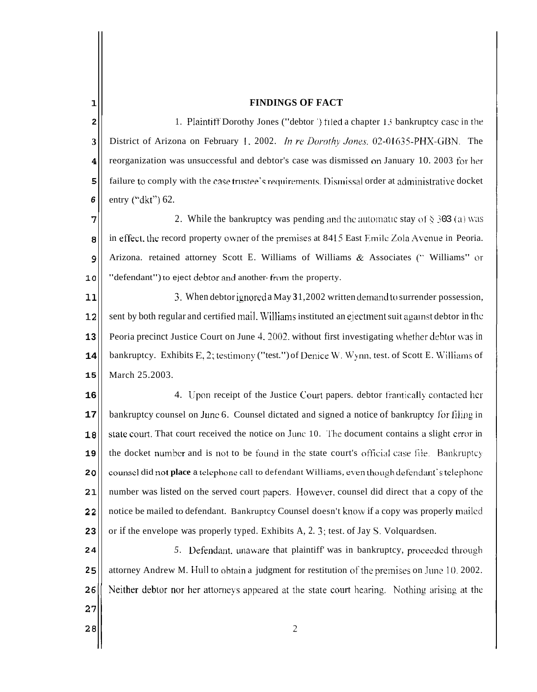## **FINDINGS OF FACT**

**2 3 4 5 6**  1. Plaintiff Dorothy Jones ("debtor") filed a chapter 13 bankruptcy case in the District of Arizona on February 1, 2002. *In re Dorothy Jones.* 02-01635-PHX-GBN. The reorganization was unsuccessful and debtor's case was dismissed on January 10. 2003 for her failure to comply with the case trustee's requirements. Dismissal order at administrative docket entry **("dkt")** 62.

**7 8 9 10**  2. While the bankruptcy was pending and the automatic stay of  $\S$  303 (a) was in effect, the record property owner of the premises at 8415 East Emile Zola Avenue in Peoria. Arizona. retained attorney Scott E. Williams of Williams & Associates (" Williams" or "defendant") to eject debtor and another- from the property.

**11 12 13 14 15**  3. When debtor ignored a May 31,2002 written demand to surrender possession, sent by both regular and certified mail. Williams instituted an ejectment suit against debtor in the Peoria precinct Justice Court on June 4, 2002, without first investigating whether debtor was in bankruptcy. Exhibits E, 2; testimony ("test.") of Denice W. Wynn, test. of Scott E. Williams of March 25.2003.

**16 17 18 19 2 0 21 22 23**  4. Upon receipt of the Justice Court papers. debtor frantically contacted her bankruptcy counsel on Junc 6. Counsel dictated and signed a notice of bankruptcy for filing in state court. That court received the notice on Junc 10. The document contains a slight error in the docket number and is not to be found in the state court's official case file. Bankruptcy counsel did not place a telephone call to defendant Williams, even though defendant's telephone number was listed on the served court papcrs. However. counsel did direct that a copy of the notice be mailed to defendant. Bankruptcy Counsel doesn't know if a copy was properly mailed or if the envelope was properly typed. Exhibits A, 2. 3; test. of Jay S. Volquardsen.

5. Defendant, unaware that plaintiff' was in bankruptcy, proceeded through **24 2 5**  attorney Andrew M. Hull to obtain a judgment for restitution of the premises on June 10. 2002. 26 Neither debtor nor her attorneys appeared at the state court hearing. Nothing arising at the

ı

27

 $28$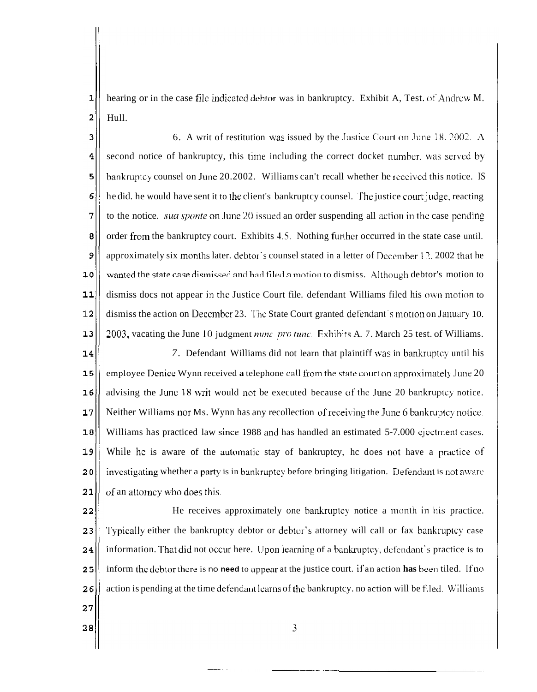$\overline{1}$ hearing or in the case file indicated debtor was in bankruptcy. Exhibit A, Test. of Andrew M.  $\overline{2}$ Hull.

6. A writ of restitution was issued by the Justice Court on June 18, 2002. A 3 second notice of bankruptcy, this time including the correct docket number, was served **by**   $\overline{\mathbf{4}}$ 5 hankruptcy counsel on June 20.2002. Williams can't recall whether he rcccived this notice. IS 6 he did. he would have sent it to the client's bankruptcy counsel. The justice court judge, reacting 7 to the notice. *sua sponte* on June 20 issued an order suspending all action in the case pending 8 order from the bankruptcy court. Exhibits 4,5. Nothing further occurred in the state case until. 9 approximately six months later. debtor's counsel stated in a letter of December 12. 2002 that he 10 wanted the state case dismissed and had filed a motion to dismiss. Although debtor's motion to  $11$ dismiss docs not appear in the Justice Court file. defendant Williams filed his own motion to  $12$ dismiss the action on December 23. The State Court granted defendant's motion on January 10.  $13$ 2003, vacating the June 10 judgment *nunc pro tune*. Exhibits A. 7. March 25 test. of Williams.

 $14$ *7.* Defendant Williams did not learn that plaintiff \vas in hankruptcy until his employee Denice Wynn received a telephone call from the state court on approximately .June 20 15  $16$ advising the June 18 writ would not be executed because of the June 20 bankruptcy notice. Neither Williams nor Ms. Wynn has any recollection of receiving the June 6 bankruptcy notice.  $17$ Williams has practiced law since 1988 and has handled an estimated 5-7.000 cjectment cases.  $18$  $19$ While he is aware of the automatic stay of bankruptcy, he does not have a practice of  $20$ investigating whether a party is in bankruptcy before bringing litigation. Defendant is not aware 21 of an attorncy **~vho** does this.

He receives approximately one bankruptcy notice a month in his practice.  $22$ Typically either the bankruptcy debtor or debtor's attorney will call or fax bankruptcy case 23 information. That did not occur here. Upon learning of a bankruptcy, defendant's practice is to 24 inform the debtor there is no **need** to appear at the justice court. if an action **has** been tiled. If no 25 action is pending at the time defendant learns of the bankruptcy, no action will be filed. Williams 26 27

3

28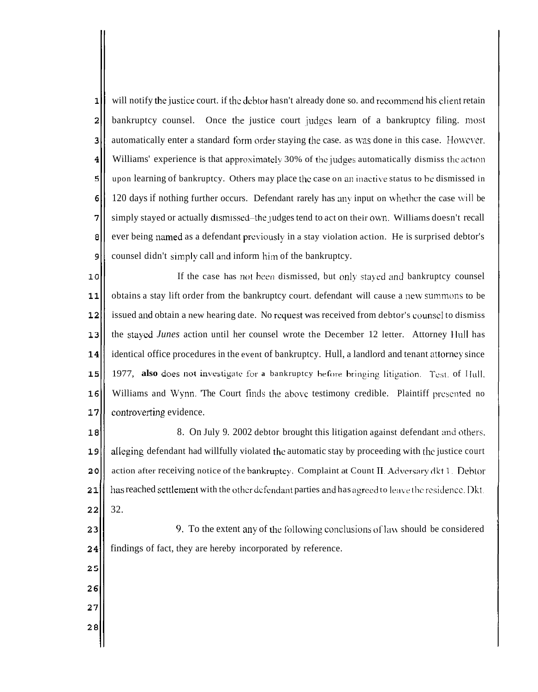$\mathbf 1$ will notify the justice court. if the debtor hasn't already done so. and recommend his client retain  $\overline{a}$ bankruptcy counsel. Once the justice court judgcs learn of a bankruptcy filing. most 3 automatically enter a standard form order staying the case, as was done in this case. However. 4 Williams' experience is that approximately  $30\%$  of the judges automatically dismiss the action 5 upon learning of bankruptcy. Others may place the case on an inactive status to be dismissed in 6 120 days if nothing further occurs. Defendant rarely has any input on whether the case will be simply stayed or actually dismissed-the judges tend to act on their own. Williams doesn't recall 7 8 ever being named as a defendant previously in a stay violation action. He is surprised debtor's 9 counsel didn't simply call and inform him of the bankruptcy.

 $10$ If the case has not been dismissed, but only stayed and bankruptcy counsel  $11$ obtains a stay lift order from the bankruptcy court. defendant will cause a new, surnrnons to be  $12$ issued and obtain a new hearing date. No request was received from debtor's counsel to dismiss  $13$ the staycd *Junes* action until her counsel wrote the December 12 letter. Attorney llull has  $14$ identical office procedures in the event of bankruptcy. Hull, a landlord and tenant attorney since 15 1977, also does not investigate for a bankruptcy hefore bringing litigation. Test. of IIull. Williams and Wynn. The Court finds the above testimony credible. Plaintiff presented no  $16$  $17$ controverting evidence.

 $18$ 8. On July 9. 2002 debtor brought this litigation against defendant and others. 19 alleging defendant had willfully violated the automatic stay by proceeding with the justice court  $20$ action after receiving notice of the bankruptcy. Complaint at Count II. Adversary dkt 1. Debtor has reached settlement with the othcr defendant parties and has agreed to leave the residence. Dkt.  $22$ 32.

9. To the extent any of the following conclusions of law should be considered findings of fact, they are hereby incorporated by reference.

- $21$  $23$  $24$ 25 26 27
- 
- $28$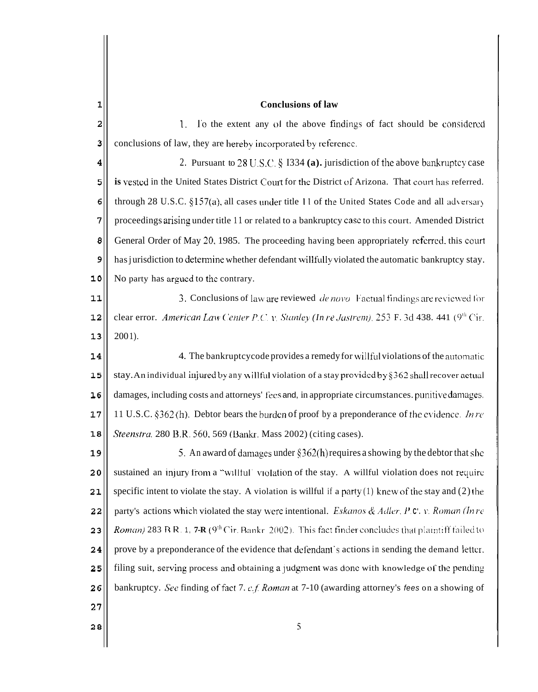| $\mathbf{1}$ | <b>Conclusions of law</b>                                                                                           |
|--------------|---------------------------------------------------------------------------------------------------------------------|
| 2            | To the extent any of the above findings of fact should be considered<br>1.                                          |
| 3            | conclusions of law, they are hereby incorporated by reference.                                                      |
| 4            | 2. Pursuant to $28 \text{ U.S.C.}$ § 1334 (a). jurisdiction of the above bankruptcy case                            |
| 5            | is vested in the United States District Court for the District of Arizona. That court has referred.                 |
| 6            | through 28 U.S.C. $\S157(a)$ , all cases under title 11 of the United States Code and all adversary                 |
| 7            | proceedings arising under title 11 or related to a bankruptcy case to this court. Amended District                  |
| 8            | General Order of May 20, 1985. The proceeding having been appropriately referred, this court                        |
| 9            | has jurisdiction to determine whether defendant willfully violated the automatic bankruptcy stay.                   |
| 10           | No party has argued to the contrary.                                                                                |
| 11           | 3. Conclusions of law are reviewed <i>de novo</i> Factual findings are reviewed for                                 |
| 12           | clear error. American Law Center P.C. v. Stanley (In re Jastrem). 253 F. 3d 438. 441 ( $9^{th}$ Cir.                |
| 13           | $2001$ ).                                                                                                           |
| 14           | 4. The bankruptcycode provides a remedy for will ful violations of the automatic                                    |
| 15           | stay. An individual injured by any willful violation of a stay provided by §362 shall recover actual                |
| 16           | damages, including costs and attorneys' fees and, in appropriate circumstances. punitive damages.                   |
| 17           | 11 U.S.C. §362(h). Debtor bears the burden of proof by a preponderance of the evidence. <i>In re</i>                |
| 18           | Steenstra. 280 B.R. 560, 569 (Bankr. Mass 2002) (citing cases).                                                     |
| 19           | 5. An award of damages under $\S362(h)$ requires a showing by the debtor that she                                   |
| 20           | sustained an injury from a "willful' violation of the stay. A willful violation does not require                    |
| 21           | specific intent to violate the stay. A violation is willful if a party $(1)$ knew of the stay and $(2)$ the         |
| 22           | party's actions which violated the stay were intentional. Eskanos & Adler, P.C. v. Roman (In re                     |
| 23           | <i>Roman</i> ) 283 B R. 1, <b>7-R</b> ( $9th$ Cir. Bankr 2002). This fact finder concludes that plaintiff failed to |
| 24           | prove by a preponderance of the evidence that defendant's actions in sending the demand letter.                     |
| 25           | filing suit, serving process and obtaining a judgment was done with knowledge of the pending                        |
| 26           | bankruptcy. See finding of fact 7. c.f. Roman at 7-10 (awarding attorney's fees on a showing of                     |
| 27           |                                                                                                                     |
| 28           | 5                                                                                                                   |
|              |                                                                                                                     |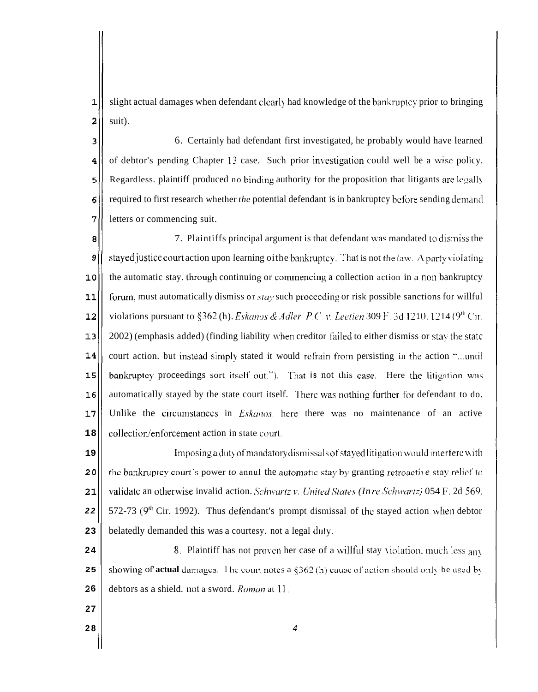$\mathbf{1}$ slight actual damages when defendant clearly had knowledge of the bankruptcy prior to bringing  $\overline{2}$ suit).

 $\overline{3}$ 6. Certainly had defendant first investigated, he probably would have learned  $\overline{\mathbf{4}}$ of debtor's pending Chapter **11** case. Such prior inxstigation could well be a **\vise** policy. 5 Regardless. plaintiff produced no binding authority for the proposition that litigants are legally required to first research whether *the* potential defendant is in bankruptcy before sending demand  $\epsilon$  $\overline{7}$ letters or commencing suit.

7. Plaintiffs principal argument is that defendant lvas mandated **LO** dismiss the 8 **9**<sup> $\parallel$ </sup> stayed justice court action upon learning oithe bankruptcy. That is not the law. A party violating  $10$ the automatic stay. through continuing or commencing a collection action in a non bankruptcy  $11$ forum, must automatically dismiss or *stay* such proceeding or risk possible sanctions for willful violations pursuant to §362 (h). *Eskanos & Adler*, *P.C. v. Leetien* 309 F. 3d 1210, 1214 (9<sup>th</sup> Cir.  $12$ 2002) (emphasis added) (finding liability when creditor failed to either dismiss or stay the statc  $13$  $14$ 1 court action. but instead simply stated it would refrain from persisting in the action "...until bankruptcy proceedings sort itself out."). That is not this case. Here the litigation was 15 automatically stayed by the state court itself. There was nothing further for defendant to do.  $16$  $17$ Unlike the circumstances in *Eskanos*, here there was no maintenance of an active **18**  collection/enforcement action in state court.

**19 20 21 22**  Imposing a duty of mandatory dismissals of stayed Iitigation would interfere with the bankruptcy court's power *to* annul the automatic stay by granting retroactive stay relief to validate an otherwise invalid action. Schwartz v. United States (In re Schwartz) 054 F. 2d 569. 572-73 ( $9<sup>th</sup>$  Cir. 1992). Thus defendant's prompt dismissal of the stayed action when debtor **23**  belatedly demanded this was a courtesy. not a legal duly.

**24**  8. Plaintiff has not proven her case of a willful stay violation, much less  $_{\rm{anv}}$ **25 2 6**  showing of **actual** damages. The court notes a  $$362$  (h) cause of action should only be used by debtors as a shield. not a sword. *Roman* at 11.

**27** 

**28**